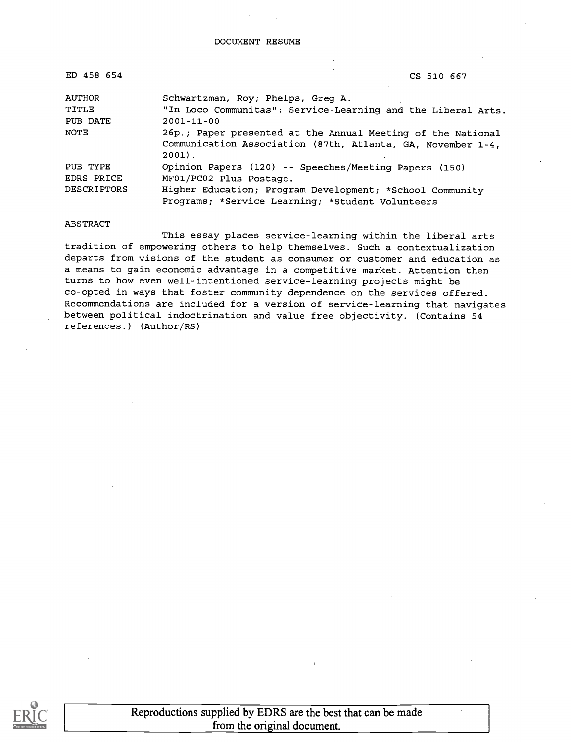| ED 458 654         | CS 510 667                                                                                                                             |  |
|--------------------|----------------------------------------------------------------------------------------------------------------------------------------|--|
| AUTHOR             | Schwartzman, Roy; Phelps, Greg A.                                                                                                      |  |
| TITLE              | "In Loco Communitas": Service-Learning and the Liberal Arts.                                                                           |  |
| PUB DATE           | $2001 - 11 - 00$                                                                                                                       |  |
| NOTE               | 26p.; Paper presented at the Annual Meeting of the National<br>Communication Association (87th, Atlanta, GA, November 1-4,<br>$2001$ . |  |
| PUB TYPE           | Opinion Papers (120) -- Speeches/Meeting Papers (150)                                                                                  |  |
| EDRS PRICE         | MF01/PC02 Plus Postage.                                                                                                                |  |
| <b>DESCRIPTORS</b> | Higher Education; Program Development; *School Community                                                                               |  |
|                    | Programs; *Service Learning; *Student Volunteers                                                                                       |  |

ABSTRACT

This essay places service-learning within the liberal arts tradition of empowering others to help themselves. Such a contextualization departs from visions of the student as consumer or customer and education as a means to gain economic advantage in a competitive market. Attention then turns to how even well-intentioned service-learning projects might be co-opted in ways that foster community dependence on the services offered. Recommendations are included for a version of service-learning that navigates between political indoctrination and value-free objectivity. (Contains 54 references.) (Author/RS)

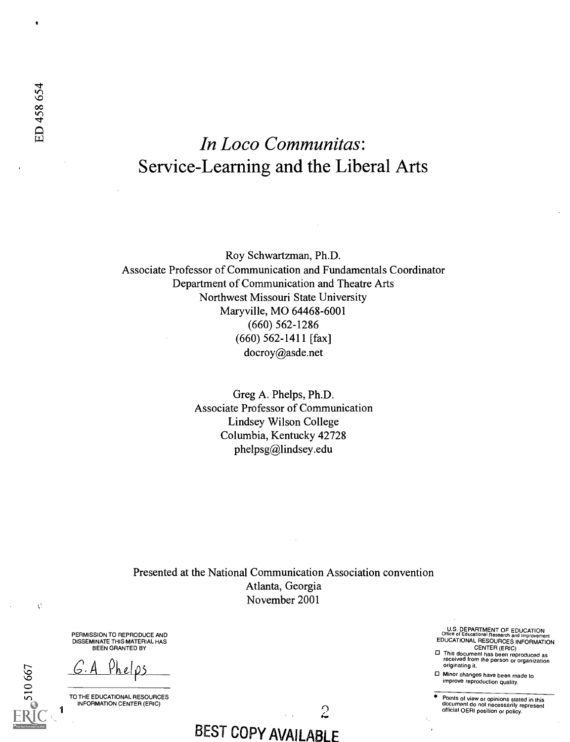# In Loco Communitas: Service-Learning and the Liberal Arts

Roy Schwartzman, Ph.D. Associate Professor of Communication and Fundamentals Coordinator Department of Communication and Theatre Arts Northwest Missouri State University Maryville, MO 64468-6001 (660) 562-1286 (660) 562-1411 [fax] docroy@asde.net

> Greg A. Phelps, Ph.D. Associate Professor of Communication Lindsey Wilson College Columbia, Kentucky 42728 phelpsg@lindsey.edu

Presented at the National Communication Association convention Atlanta, Georgia November 2001

PERMISSION TO REPRODUCE AND DISSEMINATE THIS MATERIAL HAS BEEN GRANTED BY

<u>G.A Phelps</u>

10667  $\overline{a}$ 

 $\mathcal{C}$ 

1

TO THE EDUCATIONAL RESOURCES INFORMATION CENTER (ERIC)

U.S. DEPARTMENT OF EDUCATION<br>Office of Educational Research and Improvement EDUCATIONAL RESOURCES INFORMATION

- CENTER (ERIC)<br>  $\square$  This document has been reproduced as<br>
received from the person or organization originating it.
- O Minor changes have been made to improve reproduction quality.
- Points of view or opinions stated in this document do not necessarily represent official OERI position or policy.

BEST COPY AVAILABLE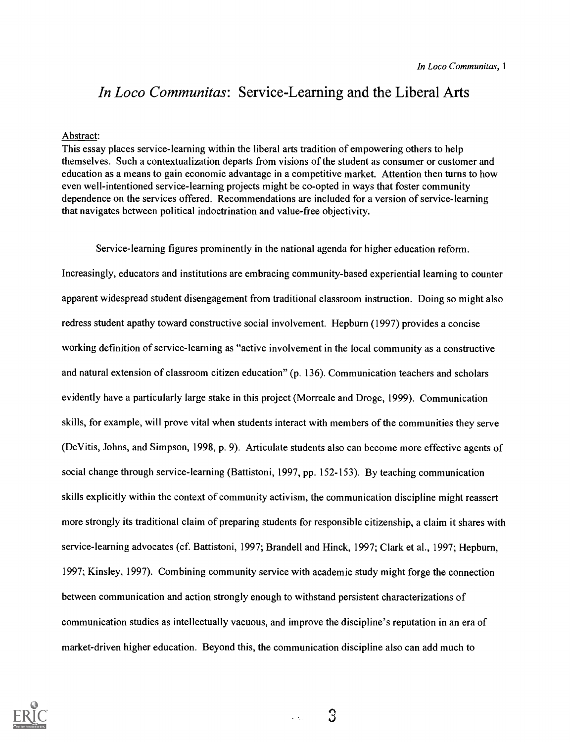## In Loco Communitas: Service-Learning and the Liberal Arts

#### Abstract:

This essay places service-learning within the liberal arts tradition of empowering others to help themselves. Such a contextualization departs from visions of the student as consumer or customer and education as a means to gain economic advantage in a competitive market. Attention then turns to how even well-intentioned service-learning projects might be co-opted in ways that foster community dependence on the services offered. Recommendations are included for a version of service-learning that navigates between political indoctrination and value-free objectivity.

Service-learning figures prominently in the national agenda for higher education reform.

Increasingly, educators and institutions are embracing community-based experiential learning to counter apparent widespread student disengagement from traditional classroom instruction. Doing so might also redress student apathy toward constructive social involvement. Hepburn (1997) provides a concise working definition of service-learning as "active involvement in the local community as a constructive and natural extension of classroom citizen education" (p. 136). Communication teachers and scholars evidently have a particularly large stake in this project (Morreale and Droge, 1999). Communication skills, for example, will prove vital when students interact with members of the communities they serve (DeVitis, Johns, and Simpson, 1998, p. 9). Articulate students also can become more effective agents of social change through service-learning (Battistoni, 1997, pp. 152-153). By teaching communication skills explicitly within the context of community activism, the communication discipline might reassert more strongly its traditional claim of preparing students for responsible citizenship, a claim it shares with service-learning advocates (cf. Battistoni, 1997; Brandell and Hinck, 1997; Clark et al., 1997; Hepburn, 1997; Kinsley, 1997). Combining community service with academic study might forge the connection between communication and action strongly enough to withstand persistent characterizations of communication studies as intellectually vacuous, and improve the discipline's reputation in an era of market-driven higher education. Beyond this, the communication discipline also can add much to



3

 $\sim 10$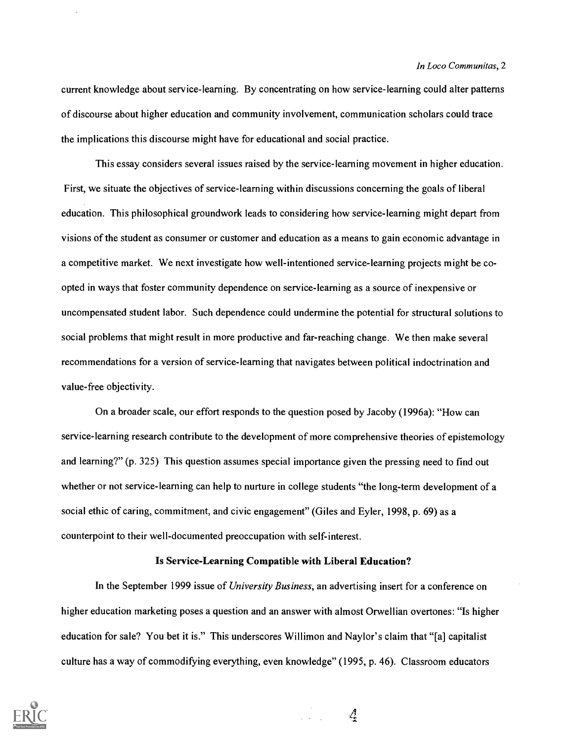current knowledge about service-learning. By concentrating on how service-learning could alter patterns of discourse about higher education and community involvement, communication scholars could trace the implications this discourse might have for educational and social practice.

This essay considers several issues raised by the service-learning movement in higher education. First, we situate the objectives of service-learning within discussions concerning the goals of liberal education. This philosophical groundwork leads to considering how service-learning might depart from visions of the student as consumer or customer and education as a means to gain economic advantage in a competitive market. We next investigate how well-intentioned service-learning projects might be coopted in ways that foster community dependence on service-learning as a source of inexpensive or uncompensated student labor. Such dependence could undermine the potential for structural solutions to social problems that might result in more productive and far-reaching change. We then make several recommendations for a version of service-learning that navigates between political indoctrination and value-free objectivity.

On a broader scale, our effort responds to the question posed by Jacoby (1996a): "How can service-learning research contribute to the development of more comprehensive theories of epistemology and learning?" (p. 325) This question assumes special importance given the pressing need to find out whether or not service-learning can help to nurture in college students "the long-term development of a social ethic of caring, commitment, and civic engagement" (Giles and Eyler, 1998, p. 69) as a counterpoint to their well-documented preoccupation with self-interest.

### Is Service-Learning Compatible with Liberal Education?

In the September 1999 issue of University Business, an advertising insert for a conference on higher education marketing poses a question and an answer with almost Orwellian overtones: "Is higher education for sale? You bet it is." This underscores Willimon and Naylor's claim that "[a] capitalist culture has a way of commodifying everything, even knowledge" (1995, p. 46). Classroom educators

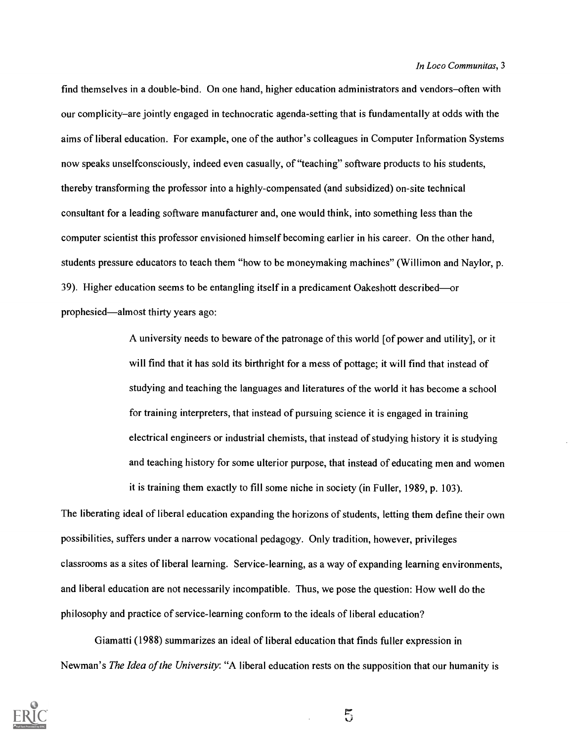find themselves in a double-bind. On one hand, higher education administrators and vendors-often with our complicity—are jointly engaged in technocratic agenda-setting that is fundamentally at odds with the aims of liberal education. For example, one of the author's colleagues in Computer Information Systems now speaks unselfconsciously, indeed even casually, of "teaching" software products to his students, thereby transforming the professor into a highly-compensated (and subsidized) on-site technical consultant for a leading software manufacturer and, one would think, into something less than the computer scientist this professor envisioned himself becoming earlier in his career. On the other hand, students pressure educators to teach them "how to be moneymaking machines" (Willimon and Naylor, p. 39). Higher education seems to be entangling itself in a predicament Oakeshott described—or prophesied—almost thirty years ago:

> A university needs to beware of the patronage of this world [of power and utility], or it will find that it has sold its birthright for a mess of pottage; it will find that instead of studying and teaching the languages and literatures of the world it has become a school for training interpreters, that instead of pursuing science it is engaged in training electrical engineers or industrial chemists, that instead of studying history it is studying and teaching history for some ulterior purpose, that instead of educating men and women it is training them exactly to fill some niche in society (in Fuller, 1989, p. 103).

The liberating ideal of liberal education expanding the horizons of students, letting them define their own possibilities, suffers under a narrow vocational pedagogy. Only tradition, however, privileges classrooms as a sites of liberal learning. Service-learning, as a way of expanding learning environments, and liberal education are not necessarily incompatible. Thus, we pose the question: How well do the philosophy and practice of service-learning conform to the ideals of liberal education?

Giamatti (1988) summarizes an ideal of liberal education that finds fuller expression in Newman's The Idea of the University: "A liberal education rests on the supposition that our humanity is

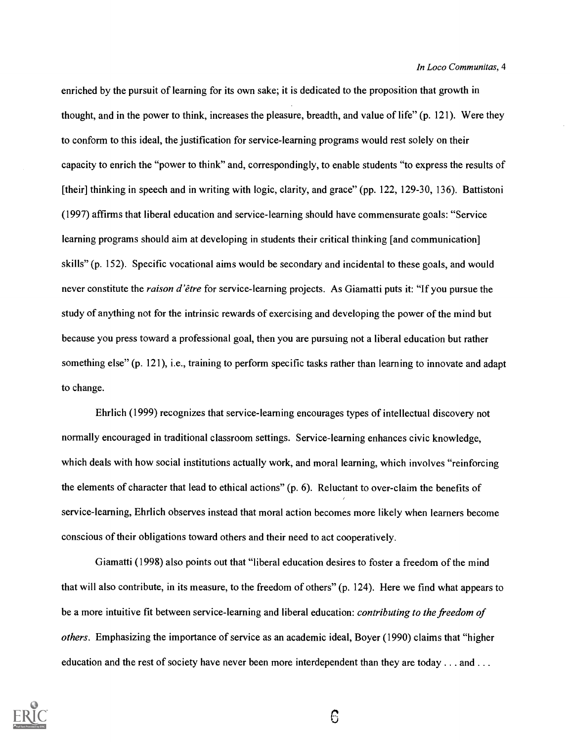enriched by the pursuit of learning for its own sake; it is dedicated to the proposition that growth in thought, and in the power to think, increases the pleasure, breadth, and value of life" (p. 121). Were they to conform to this ideal, the justification for service-learning programs would rest solely on their capacity to enrich the "power to think" and, correspondingly, to enable students "to express the results of [their] thinking in speech and in writing with logic, clarity, and grace" (pp. 122, 129-30, 136). Battistoni (1997) affirms that liberal education and service-learning should have commensurate goals: "Service learning programs should aim at developing in students their critical thinking [and communication] skills" (p. 152). Specific vocational aims would be secondary and incidental to these goals, and would never constitute the *raison d'être* for service-learning projects. As Giamatti puts it: "If you pursue the study of anything not for the intrinsic rewards of exercising and developing the power of the mind but because you press toward a professional goal, then you are pursuing not a liberal education but rather something else" (p. 121), i.e., training to perform specific tasks rather than learning to innovate and adapt to change.

Ehrlich (1999) recognizes that service-learning encourages types of intellectual discovery not normally encouraged in traditional classroom settings. Service-learning enhances civic knowledge, which deals with how social institutions actually work, and moral learning, which involves "reinforcing the elements of character that lead to ethical actions" (p. 6). Reluctant to over-claim the benefits of service-learning, Ehrlich observes instead that moral action becomes more likely when learners become conscious of their obligations toward others and their need to act cooperatively.

Giamatti (1998) also points out that "liberal education desires to foster a freedom of the mind that will also contribute, in its measure, to the freedom of others" (p. 124). Here we find what appears to be a more intuitive fit between service-learning and liberal education: *contributing to the freedom of* others. Emphasizing the importance of service as an academic ideal, Boyer (1990) claims that "higher education and the rest of society have never been more interdependent than they are today . . . and . . .

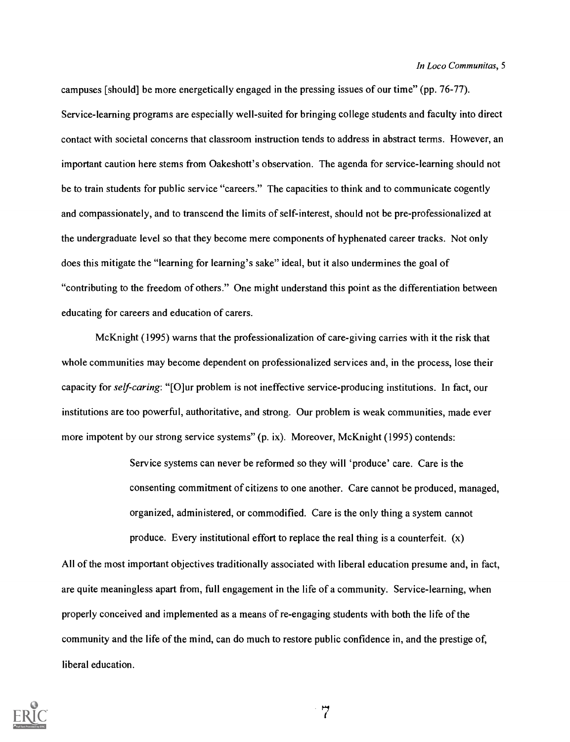campuses [should] be more energetically engaged in the pressing issues of our time" (pp. 76-77). Service-learning programs are especially well-suited for bringing college students and faculty into direct contact with societal concerns that classroom instruction tends to address in abstract terms. However, an important caution here stems from Oakeshott's observation. The agenda for service-learning should not be to train students for public service "careers." The capacities to think and to communicate cogently and compassionately, and to transcend the limits of self-interest, should not be pre-professionalized at the undergraduate level so that they become mere components of hyphenated career tracks. Not only does this mitigate the "learning for learning's sake" ideal, but it also undermines the goal of "contributing to the freedom of others." One might understand this point as the differentiation between educating for careers and education of carers.

McKnight (1995) warns that the professionalization of care-giving carries with it the risk that whole communities may become dependent on professionalized services and, in the process, lose their capacity for self-caring: "[O]ur problem is not ineffective service-producing institutions. In fact, our institutions are too powerful, authoritative, and strong. Our problem is weak communities, made ever more impotent by our strong service systems" (p. ix). Moreover, McKnight (1995) contends:

> Service systems can never be reformed so they will 'produce' care. Care is the consenting commitment of citizens to one another. Care cannot be produced, managed, organized, administered, or commodified. Care is the only thing a system cannot produce. Every institutional effort to replace the real thing is a counterfeit.  $(x)$

All of the most important objectives traditionally associated with liberal education presume and, in fact, are quite meaningless apart from, full engagement in the life of a community. Service-learning, when properly conceived and implemented as a means of re-engaging students with both the life of the community and the life of the mind, can do much to restore public confidence in, and the prestige of, liberal education.

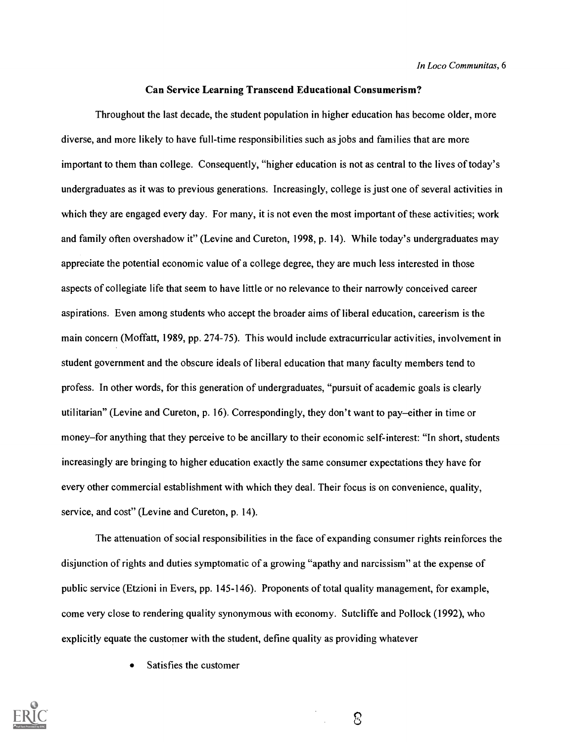#### Can Service Learning Transcend Educational Consumerism?

Throughout the last decade, the student population in higher education has become older, more diverse, and more likely to have full-time responsibilities such as jobs and families that are more important to them than college. Consequently, "higher education is not as central to the lives of today's undergraduates as it was to previous generations. Increasingly, college is just one of several activities in which they are engaged every day. For many, it is not even the most important of these activities; work and family often overshadow it" (Levine and Cureton, 1998, p. 14). While today's undergraduates may appreciate the potential economic value of a college degree, they are much less interested in those aspects of collegiate life that seem to have little or no relevance to their narrowly conceived career aspirations. Even among students who accept the broader aims of liberal education, careerism is the main concern (Moffatt, 1989, pp. 274-75). This would include extracurricular activities, involvement in student government and the obscure ideals of liberal education that many faculty members tend to profess. In other words, for this generation of undergraduates, "pursuit of academic goals is clearly utilitarian" (Levine and Cureton, p. 16). Correspondingly, they don't want to payeither in time or money–for anything that they perceive to be ancillary to their economic self-interest: "In short, students increasingly are bringing to higher education exactly the same consumer expectations they have for every other commercial establishment with which they deal. Their focus is on convenience, quality, service, and cost" (Levine and Cureton, p. 14).

The attenuation of social responsibilities in the face of expanding consumer rights reinforces the disjunction of rights and duties symptomatic of a growing "apathy and narcissism" at the expense of public service (Etzioni in Evers, pp. 145-146). Proponents of total quality management, for example, come very close to rendering quality synonymous with economy. Sutcliffe and Pollock (1992), who explicitly equate the customer with the student, define quality as providing whatever

Satisfies the customer

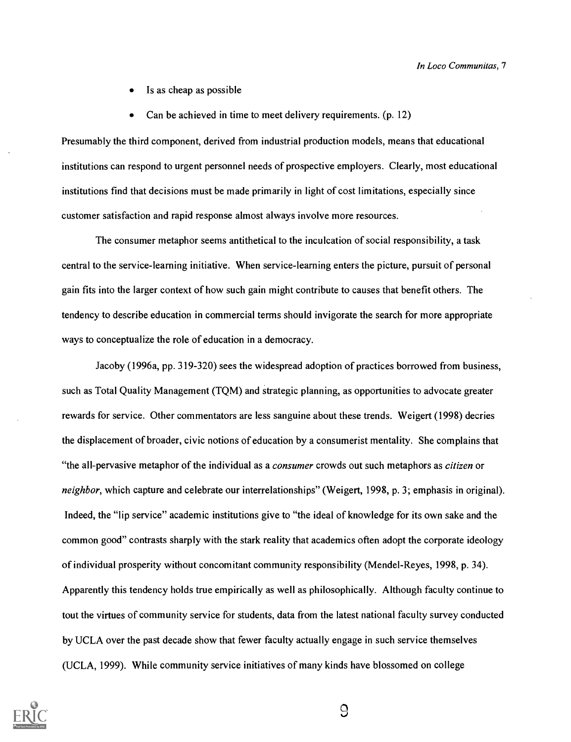- Is as cheap as possible
- Can be achieved in time to meet delivery requirements. (p. 12)

Presumably the third component, derived from industrial production models, means that educational institutions can respond to urgent personnel needs of prospective employers. Clearly, most educational institutions find that decisions must be made primarily in light of cost limitations, especially since customer satisfaction and rapid response almost always involve more resources.

The consumer metaphor seems antithetical to the inculcation of social responsibility, a task central to the service-learning initiative. When service-learning enters the picture, pursuit of personal gain fits into the larger context of how such gain might contribute to causes that benefit others. The tendency to describe education in commercial terms should invigorate the search for more appropriate ways to conceptualize the role of education in a democracy.

Jacoby (1996a, pp. 319-320) sees the widespread adoption of practices borrowed from business, such as Total Quality Management (TQM) and strategic planning, as opportunities to advocate greater rewards for service. Other commentators are less sanguine about these trends. Weigert (1998) decries the displacement of broader, civic notions of education by a consumerist mentality. She complains that "the all-pervasive metaphor of the individual as a consumer crowds out such metaphors as citizen or neighbor, which capture and celebrate our interrelationships" (Weigert, 1998, p. 3; emphasis in original). Indeed, the "lip service" academic institutions give to "the ideal of knowledge for its own sake and the common good" contrasts sharply with the stark reality that academics often adopt the corporate ideology of individual prosperity without concomitant community responsibility (Mendel-Reyes, 1998, p. 34). Apparently this tendency holds true empirically as well as philosophically. Although faculty continue to tout the virtues of community service for students, data from the latest national faculty survey conducted by UCLA over the past decade show that fewer faculty actually engage in such service themselves (UCLA, 1999). While community service initiatives of many kinds have blossomed on college



 $\Theta$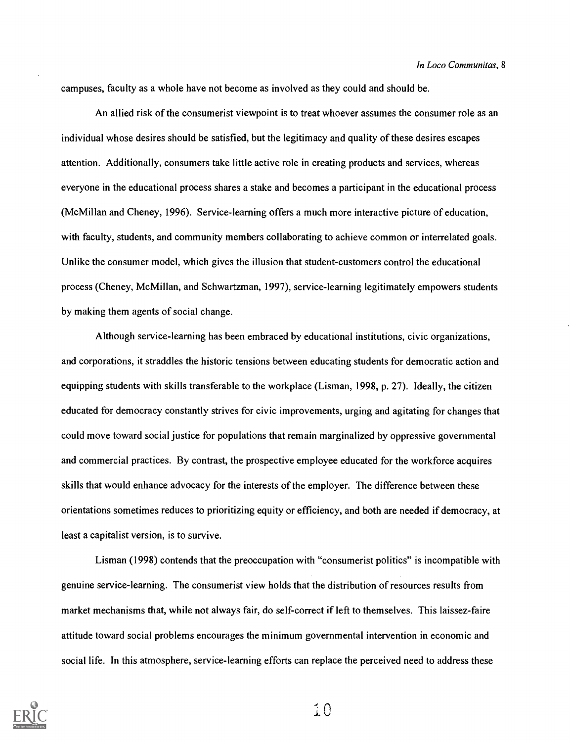campuses, faculty as a whole have not become as involved as they could and should be.

An allied risk of the consumerist viewpoint is to treat whoever assumes the consumer role as an individual whose desires should be satisfied, but the legitimacy and quality of these desires escapes attention. Additionally, consumers take little active role in creating products and services, whereas everyone in the educational process shares a stake and becomes a participant in the educational process (McMillan and Cheney, 1996). Service-learning offers a much more interactive picture of education, with faculty, students, and community members collaborating to achieve common or interrelated goals. Unlike the consumer model, which gives the illusion that student-customers control the educational process (Cheney, McMillan, and Schwartzman, 1997), service-learning legitimately empowers students by making them agents of social change.

Although service-learning has been embraced by educational institutions, civic organizations, and corporations, it straddles the historic tensions between educating students for democratic action and equipping students with skills transferable to the workplace (Lisman, 1998, p. 27). Ideally, the citizen educated for democracy constantly strives for civic improvements, urging and agitating for changes that could move toward social justice for populations that remain marginalized by oppressive governmental and commercial practices. By contrast, the prospective employee educated for the workforce acquires skills that would enhance advocacy for the interests of the employer. The difference between these orientations sometimes reduces to prioritizing equity or efficiency, and both are needed if democracy, at least a capitalist version, is to survive.

Lisman (1998) contends that the preoccupation with "consumerist politics" is incompatible with genuine service-learning. The consumerist view holds that the distribution of resources results from market mechanisms that, while not always fair, do self-correct if left to themselves. This laissez-faire attitude toward social problems encourages the minimum governmental intervention in economic and social life. In this atmosphere, service-learning efforts can replace the perceived need to address these



 $\ddot{i}$   $\theta$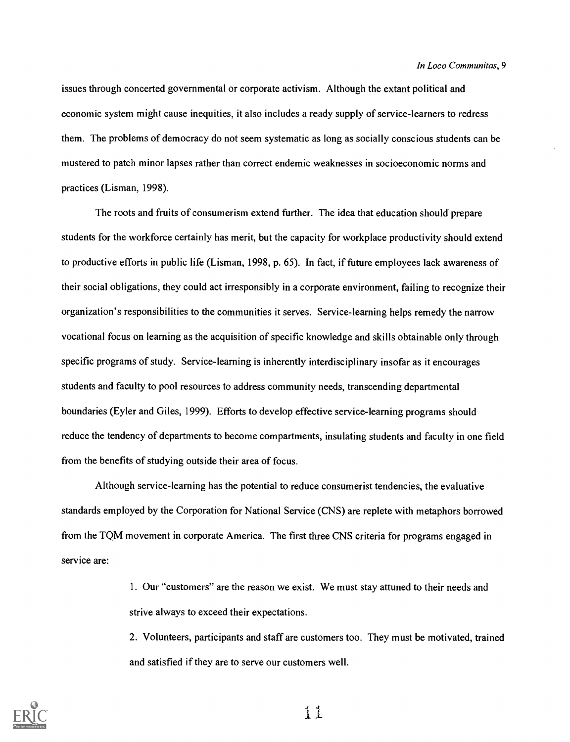issues through concerted governmental or corporate activism. Although the extant political and economic system might cause inequities, it also includes a ready supply of service-learners to redress them. The problems of democracy do not seem systematic as long as socially conscious students can be mustered to patch minor lapses rather than correct endemic weaknesses in socioeconomic norms and practices (Lisman, 1998).

The roots and fruits of consumerism extend further. The idea that education should prepare students for the workforce certainly has merit, but the capacity for workplace productivity should extend to productive efforts in public life (Lisman, 1998, p. 65). In fact, if future employees lack awareness of their social obligations, they could act irresponsibly in a corporate environment, failing to recognize their organization's responsibilities to the communities it serves. Service-learning helps remedy the narrow vocational focus on learning as the acquisition of specific knowledge and skills obtainable only through specific programs of study. Service-learning is inherently interdisciplinary insofar as it encourages students and faculty to pool resources to address community needs, transcending departmental boundaries (Eyler and Giles, 1999). Efforts to develop effective service-learning programs should reduce the tendency of departments to become compartments, insulating students and faculty in one field from the benefits of studying outside their area of focus.

Although service-learning has the potential to reduce consumerist tendencies, the evaluative standards employed by the Corporation for National Service (CNS) are replete with metaphors borrowed from the TQM movement in corporate America. The first three CNS criteria for programs engaged in service are:

> 1. Our "customers" are the reason we exist. We must stay attuned to their needs and strive always to exceed their expectations.

2. Volunteers, participants and staff are customers too. They must be motivated, trained and satisfied if they are to serve our customers well.

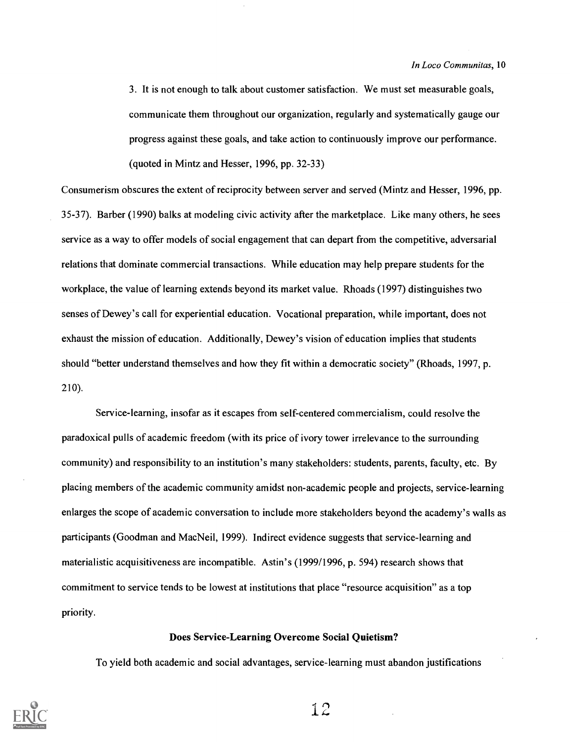3. It is not enough to talk about customer satisfaction. We must set measurable goals, communicate them throughout our organization, regularly and systematically gauge our progress against these goals, and take action to continuously improve our performance. (quoted in Mintz and Hesser, 1996, pp. 32-33)

Consumerism obscures the extent of reciprocity between server and served (Mintz and Hesser, 1996, pp. 35-37). Barber (1990) balks at modeling civic activity after the marketplace. Like many others, he sees service as a way to offer models of social engagement that can depart from the competitive, adversarial relations that dominate commercial transactions. While education may help prepare students for the workplace, the value of learning extends beyond its market value. Rhoads (1997) distinguishes two senses of Dewey's call for experiential education. Vocational preparation, while important, does not exhaust the mission of education. Additionally, Dewey's vision of education implies that students should "better understand themselves and how they fit within a democratic society" (Rhoads, 1997, p. 210).

Service-learning, insofar as it escapes from self-centered commercialism, could resolve the paradoxical pulls of academic freedom (with its price of ivory tower irrelevance to the surrounding community) and responsibility to an institution's many stakeholders: students, parents, faculty, etc. By placing members of the academic community amidst non-academic people and projects, service-learning enlarges the scope of academic conversation to include more stakeholders beyond the academy's walls as participants (Goodman and MacNeil, 1999). Indirect evidence suggests that service-learning and materialistic acquisitiveness are incompatible. Astin's (1999/1996, p. 594) research shows that commitment to service tends to be lowest at institutions that place "resource acquisition" as a top priority.

#### Does Service-Learning Overcome Social Quietism?

To yield both academic and social advantages, service-learning must abandon justifications

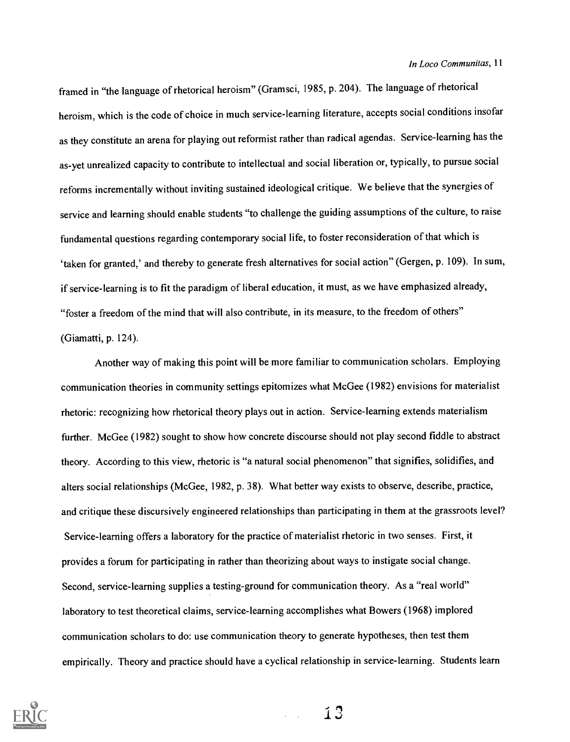framed in "the language of rhetorical heroism" (Gramsci, 1985, P. 204). The language of rhetorical heroism, which is the code of choice in much service-learning literature, accepts social conditions insofar as they constitute an arena for playing out reformist rather than radical agendas. Service-learning has the as-yet unrealized capacity to contribute to intellectual and social liberation or, typically, to pursue social reforms incrementally without inviting sustained ideological critique. We believe that the synergies of service and learning should enable students "to challenge the guiding assumptions of the culture, to raise fundamental questions regarding contemporary social life, to foster reconsideration of that which is 'taken for granted,' and thereby to generate fresh alternatives for social action" (Gergen, p. 109). In sum, if service-learning is to fit the paradigm of liberal education, it must, as we have emphasized already, "foster a freedom of the mind that will also contribute, in its measure, to the freedom of others" (Giamatti, p. 124).

Another way of making this point will be more familiar to communication scholars. Employing communication theories in community settings epitomizes what McGee (1982) envisions for materialist rhetoric: recognizing how rhetorical theory plays out in action. Service-learning extends materialism further. McGee (1982) sought to show how concrete discourse should not play second fiddle to abstract theory. According to this view, rhetoric is "a natural social phenomenon" that signifies, solidifies, and alters social relationships (McGee, 1982, p. 38). What better way exists to observe, describe, practice, and critique these discursively engineered relationships than participating in them at the grassroots level? Service-learning offers a laboratory for the practice of materialist rhetoric in two senses. First, it provides a forum for participating in rather than theorizing about ways to instigate social change. Second, service-learning supplies a testing-ground for communication theory. As a "real world" laboratory to test theoretical claims, service-learning accomplishes what Bowers (1968) implored communication scholars to do: use communication theory to generate hypotheses, then test them empirically. Theory and practice should have a cyclical relationship in service-learning. Students learn

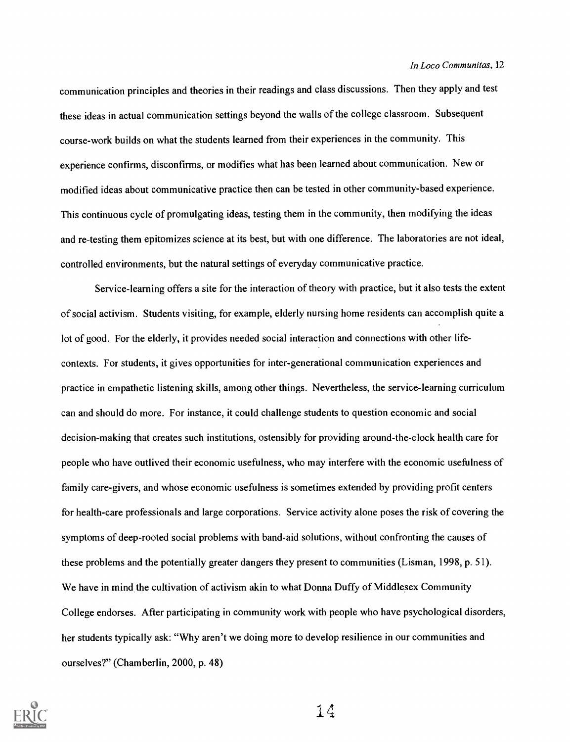communication principles and theories in their readings and class discussions. Then they apply and test these ideas in actual communication settings beyond the walls of the college classroom. Subsequent course-work builds on what the students learned from their experiences in the community. This experience confirms, disconfirms, or modifies what has been learned about communication. New or modified ideas about communicative practice then can be tested in other community-based experience. This continuous cycle of promulgating ideas, testing them in the community, then modifying the ideas and re-testing them epitomizes science at its best, but with one difference. The laboratories are not ideal, controlled environments, but the natural settings of everyday communicative practice.

Service-learning offers a site for the interaction of theory with practice, but it also tests the extent of social activism. Students visiting, for example, elderly nursing home residents can accomplish quite a lot of good. For the elderly, it provides needed social interaction and connections with other lifecontexts. For students, it gives opportunities for inter-generational communication experiences and practice in empathetic listening skills, among other things. Nevertheless, the service-learning curriculum can and should do more. For instance, it could challenge students to question economic and social decision-making that creates such institutions, ostensibly for providing around-the-clock health care for people who have outlived their economic usefulness, who may interfere with the economic usefulness of family care-givers, and whose economic usefulness is sometimes extended by providing profit centers for health-care professionals and large corporations. Service activity alone poses the risk of covering the symptoms of deep-rooted social problems with band-aid solutions, without confronting the causes of these problems and the potentially greater dangers they present to communities (Lisman, 1998, p. 51). We have in mind the cultivation of activism akin to what Donna Duffy of Middlesex Community College endorses. After participating in community work with people who have psychological disorders, her students typically ask: "Why aren't we doing more to develop resilience in our communities and ourselves?" (Chamberlin, 2000, p. 48)

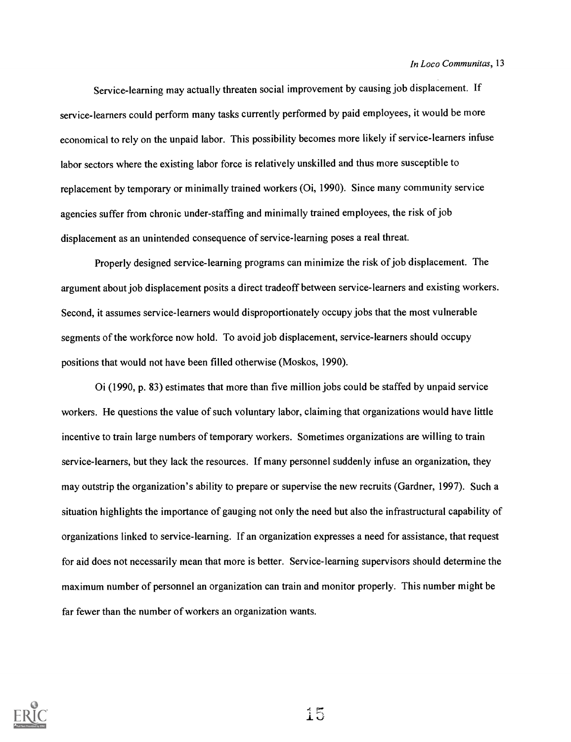Service-learning may actually threaten social improvement by causing job displacement. If service-learners could perform many tasks currently performed by paid employees, it would be more economical to rely on the unpaid labor. This possibility becomes more likely if service-learners infuse labor sectors where the existing labor force is relatively unskilled and thus more susceptible to replacement by temporary or minimally trained workers (0i, 1990). Since many community service agencies suffer from chronic under-staffing and minimally trained employees, the risk of job displacement as an unintended consequence of service-learning poses a real threat.

Properly designed service-learning programs can minimize the risk of job displacement. The argument about job displacement posits a direct tradeoff between service-learners and existing workers. Second, it assumes service-learners would disproportionately occupy jobs that the most vulnerable segments of the workforce now hold. To avoid job displacement, service-learners should occupy positions that would not have been filled otherwise (Moskos, 1990).

Oi (1990, p. 83) estimates that more than five million jobs could be staffed by unpaid service workers. He questions the value of such voluntary labor, claiming that organizations would have little incentive to train large numbers of temporary workers. Sometimes organizations are willing to train service-learners, but they lack the resources. If many personnel suddenly infuse an organization, they may outstrip the organization's ability to prepare or supervise the new recruits (Gardner, 1997). Such a situation highlights the importance of gauging not only the need but also the infrastructural capability of organizations linked to service-learning. If an organization expresses a need for assistance, that request for aid does not necessarily mean that more is better. Service-learning supervisors should determine the maximum number of personnel an organization can train and monitor properly. This number might be far fewer than the number of workers an organization wants.

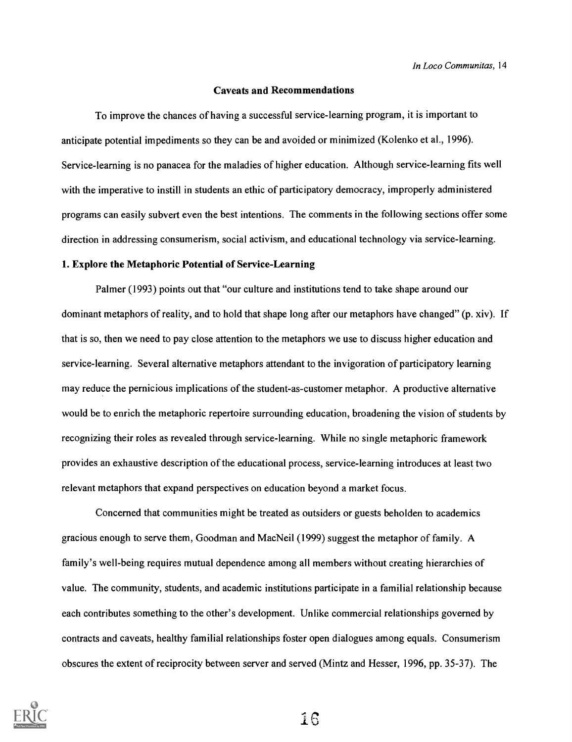#### Caveats and Recommendations

To improve the chances of having a successful service-learning program, it is important to anticipate potential impediments so they can be and avoided or minimized (Kolenko et al., 1996). Service-learning is no panacea for the maladies of higher education. Although service-learning fits well with the imperative to instill in students an ethic of participatory democracy, improperly administered programs can easily subvert even the best intentions. The comments in the following sections offer some direction in addressing consumerism, social activism, and educational technology via service-learning.

#### 1. Explore the Metaphoric Potential of Service-Learning

Palmer (1993) points out that "our culture and institutions tend to take shape around our dominant metaphors of reality, and to hold that shape long after our metaphors have changed" (p. xiv). If that is so, then we need to pay close attention to the metaphors we use to discuss higher education and service-learning. Several alternative metaphors attendant to the invigoration of participatory learning may reduce the pernicious implications of the student-as-customer metaphor. A productive alternative would be to enrich the metaphoric repertoire surrounding education, broadening the vision of students by recognizing their roles as revealed through service-learning. While no single metaphoric framework provides an exhaustive description of the educational process, service-learning introduces at least two relevant metaphors that expand perspectives on education beyond a market focus.

Concerned that communities might be treated as outsiders or guests beholden to academics gracious enough to serve them, Goodman and MacNeil (1999) suggest the metaphor of family. A family's well-being requires mutual dependence among all members without creating hierarchies of value. The community, students, and academic institutions participate in a familial relationship because each contributes something to the other's development. Unlike commercial relationships governed by contracts and caveats, healthy familial relationships foster open dialogues among equals. Consumerism obscures the extent of reciprocity between server and served (Mintz and Hesser, 1996, pp. 35-37). The

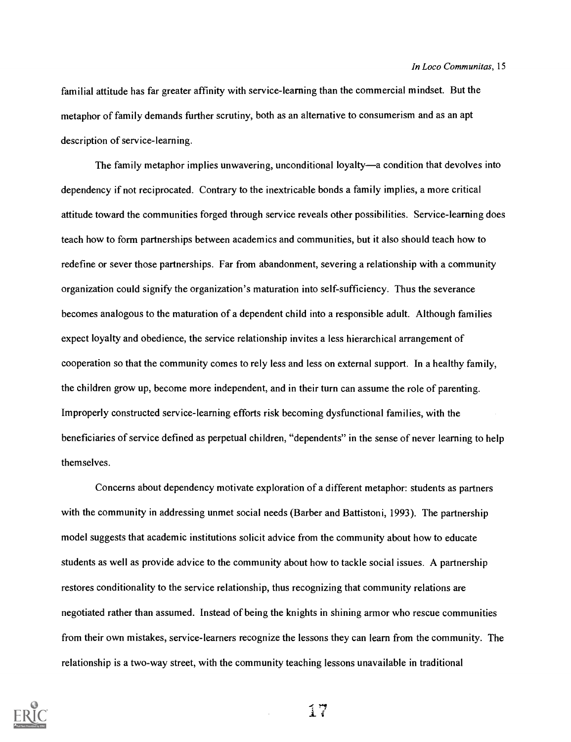familial attitude has far greater affinity with service-learning than the commercial mindset. But the metaphor of family demands further scrutiny, both as an alternative to consumerism and as an apt description of service-learning.

The family metaphor implies unwavering, unconditional loyalty—a condition that devolves into dependency if not reciprocated. Contrary to the inextricable bonds a family implies, a more critical attitude toward the communities forged through service reveals other possibilities. Service-learning does teach how to form partnerships between academics and communities, but it also should teach how to redefine or sever those partnerships. Far from abandonment, severing a relationship with a community organization could signify the organization's maturation into self-sufficiency. Thus the severance becomes analogous to the maturation of a dependent child into a responsible adult. Although families expect loyalty and obedience, the service relationship invites a less hierarchical arrangement of cooperation so that the community comes to rely less and less on external support. In a healthy family, the children grow up, become more independent, and in their turn can assume the role of parenting. Improperly constructed service-learning efforts risk becoming dysfunctional families, with the beneficiaries of service defined as perpetual children, "dependents" in the sense of never learning to help themselves.

Concerns about dependency motivate exploration of a different metaphor: students as partners with the community in addressing unmet social needs (Barber and Battistoni, 1993). The partnership model suggests that academic institutions solicit advice from the community about how to educate students as well as provide advice to the community about how to tackle social issues. A partnership restores conditionality to the service relationship, thus recognizing that community relations are negotiated rather than assumed. Instead of being the knights in shining armor who rescue communities from their own mistakes, service-learners recognize the lessons they can learn from the community. The relationship is a two-way street, with the community teaching lessons unavailable in traditional

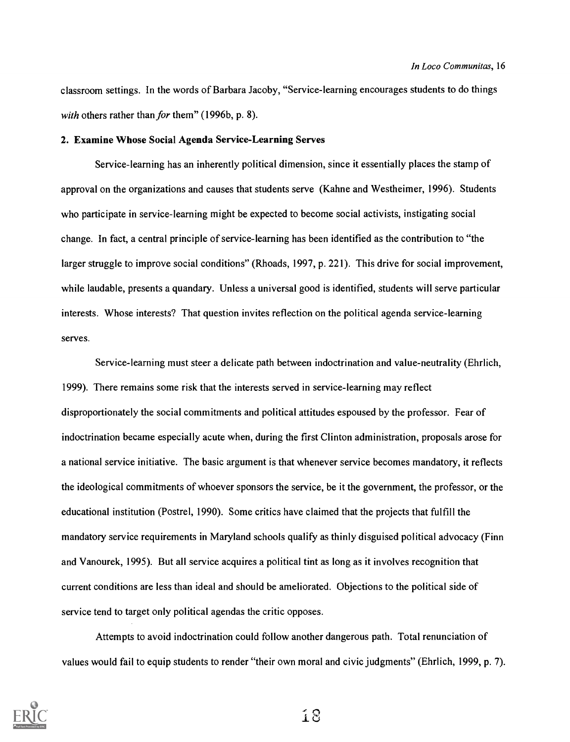classroom settings. In the words of Barbara Jacoby, "Service-learning encourages students to do things with others rather than for them" (1996b, p. 8).

#### 2. Examine Whose Social Agenda Service-Learning Serves

Service-learning has an inherently political dimension, since it essentially places the stamp of approval on the organizations and causes that students serve (Kahne and Westheimer, 1996). Students who participate in service-learning might be expected to become social activists, instigating social change. In fact, a central principle of service-learning has been identified as the contribution to "the larger struggle to improve social conditions" (Rhoads, 1997, p. 221). This drive for social improvement, while laudable, presents a quandary. Unless a universal good is identified, students will serve particular interests. Whose interests? That question invites reflection on the political agenda service-learning serves.

Service-learning must steer a delicate path between indoctrination and value-neutrality (Ehrlich, 1999). There remains some risk that the interests served in service-learning may reflect disproportionately the social commitments and political attitudes espoused by the professor. Fear of indoctrination became especially acute when, during the first Clinton administration, proposals arose for a national service initiative. The basic argument is that whenever service becomes mandatory, it reflects the ideological commitments of whoever sponsors the service, be it the government, the professor, or the educational institution (Postrel, 1990). Some critics have claimed that the projects that fulfill the mandatory service requirements in Maryland schools qualify as thinly disguised political advocacy (Finn and Vanourek, 1995). But all service acquires a political tint as long as it involves recognition that current conditions are less than ideal and should be ameliorated. Objections to the political side of service tend to target only political agendas the critic opposes.

Attempts to avoid indoctrination could follow another dangerous path. Total renunciation of values would fail to equip students to render "their own moral and civic judgments" (Ehrlich, 1999, p. 7).

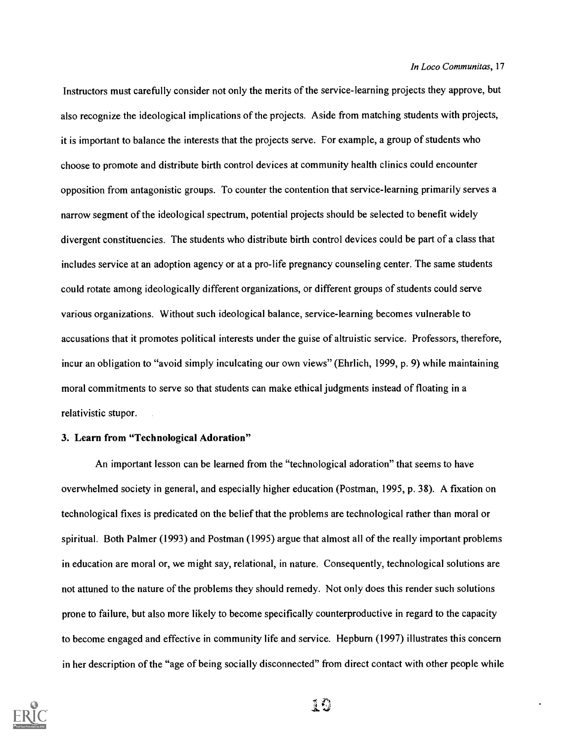Instructors must carefully consider not only the merits of the service-learning projects they approve, but also recognize the ideological implications of the projects. Aside from matching students with projects, it is important to balance the interests that the projects serve. For example, a group of students who choose to promote and distribute birth control devices at community health clinics could encounter opposition from antagonistic groups. To counter the contention that service-learning primarily serves a narrow segment of the ideological spectrum, potential projects should be selected to benefit widely divergent constituencies. The students who distribute birth control devices could be part of a class that includes service at an adoption agency or at a pro-life pregnancy counseling center. The same students could rotate among ideologically different organizations, or different groups of students could serve various organizations. Without such ideological balance, service-learning becomes vulnerable to accusations that it promotes political interests under the guise of altruistic service. Professors, therefore, incur an obligation to "avoid simply inculcating our own views" (Ehrlich, 1999, p. 9) while maintaining moral commitments to serve so that students can make ethical judgments instead of floating in a relativistic stupor.

#### 3. Learn from "Technological Adoration"

An important lesson can be learned from the "technological adoration" that seems to have overwhelmed society in general, and especially higher education (Postman, 1995, p. 38). A fixation on technological fixes is predicated on the belief that the problems are technological rather than moral or spiritual. Both Palmer (1993) and Postman (1995) argue that almost all of the really important problems in education are moral or, we might say, relational, in nature. Consequently, technological solutions are not attuned to the nature of the problems they should remedy. Not only does this render such solutions prone to failure, but also more likely to become specifically counterproductive in regard to the capacity to become engaged and effective in community life and service. Hepburn (1997) illustrates this concern in her description of the "age of being socially disconnected" from direct contact with other people while



클럽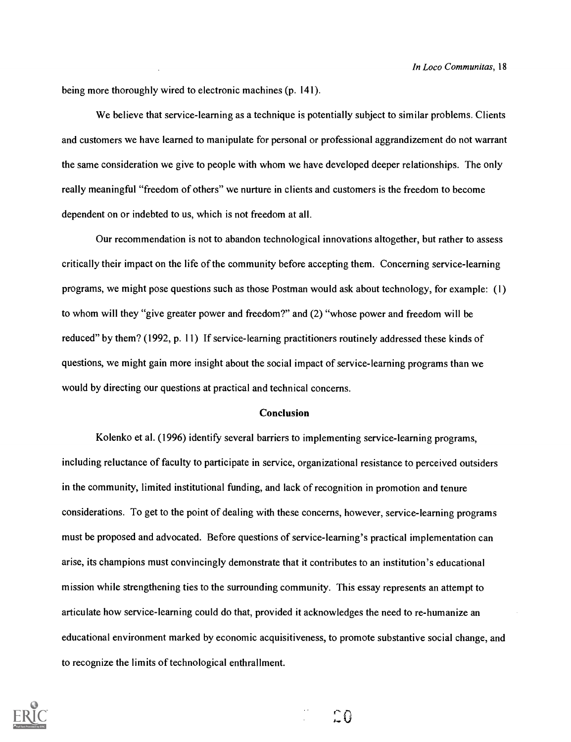being more thoroughly wired to electronic machines (p. 141).

We believe that service-learning as a technique is potentially subject to similar problems. Clients and customers we have learned to manipulate for personal or professional aggrandizement do not warrant the same consideration we give to people with whom we have developed deeper relationships. The only really meaningful "freedom of others" we nurture in clients and customers is the freedom to become dependent on or indebted to us, which is not freedom at all.

Our recommendation is not to abandon technological innovations altogether, but rather to assess critically their impact on the life of the community before accepting them. Concerning service-learning programs, we might pose questions such as those Postman would ask about technology, for example: (1) to whom will they "give greater power and freedom?" and (2) "whose power and freedom will be reduced" by them? (1992, p. 11) If service-learning practitioners routinely addressed these kinds of questions, we might gain more insight about the social impact of service-learning programs than we would by directing our questions at practical and technical concerns.

#### Conclusion

Kolenko et al. (1996) identify several barriers to implementing service-learning programs, including reluctance of faculty to participate in service, organizational resistance to perceived outsiders in the community, limited institutional funding, and lack of recognition in promotion and tenure considerations. To get to the point of dealing with these concerns, however, service-learning programs must be proposed and advocated. Before questions of service-learning's practical implementation can arise, its champions must convincingly demonstrate that it contributes to an institution's educational mission while strengthening ties to the surrounding community. This essay represents an attempt to articulate how service-learning could do that, provided it acknowledges the need to re-humanize an educational environment marked by economic acquisitiveness, to promote substantive social change, and to recognize the limits of technological enthrallment.



 $\Omega$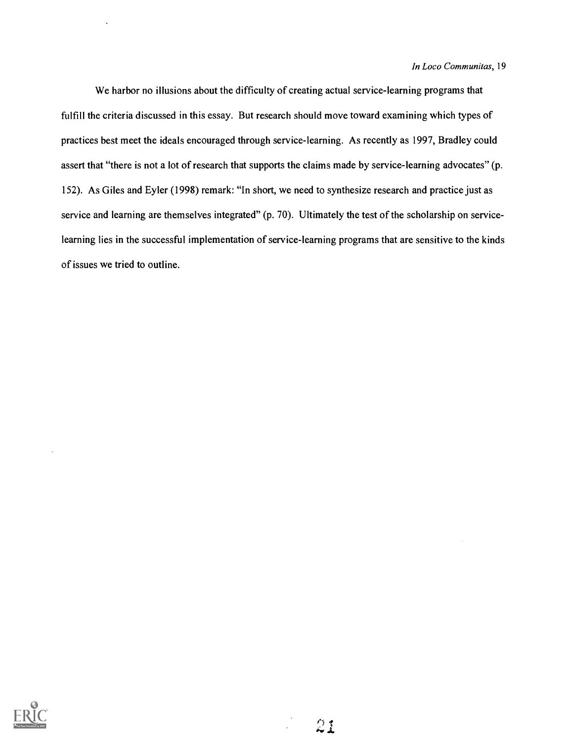We harbor no illusions about the difficulty of creating actual service-learning programs that fulfill the criteria discussed in this essay. But research should move toward examining which types of practices best meet the ideals encouraged through service-learning. As recently as 1997, Bradley could assert that "there is not a lot of research that supports the claims made by service-learning advocates" (p. 152). As Giles and Eyler (1998) remark: "In short, we need to synthesize research and practice just as service and learning are themselves integrated" (p. 70). Ultimately the test of the scholarship on servicelearning lies in the successful implementation of service-learning programs that are sensitive to the kinds of issues we tried to outline.

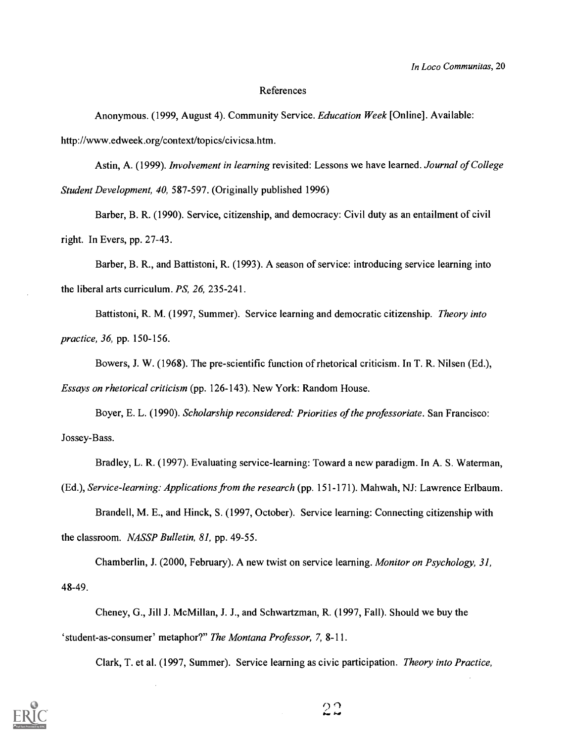#### References

Anonymous. (1999, August 4). Community Service. Education Week [Online]. Available: http://www.edweek.org/context/topics/civicsa.htm.

Astin, A. (1999). *Involvement in learning revisited: Lessons we have learned. Journal of College* Student Development, 40, 587-597. (Originally published 1996)

Barber, B. R. (1990). Service, citizenship, and democracy: Civil duty as an entailment of civil right. In Evers, pp. 27-43.

Barber, B. R., and Battistoni, R. (1993). A season of service: introducing service learning into the liberal arts curriculum. PS, 26, 235-241.

Battistoni, R. M. (1997, Summer). Service learning and democratic citizenship. *Theory into* practice, 36, pp. 150-156.

Bowers, J. W. (1968). The pre-scientific function of rhetorical criticism. In T. R. Nilsen (Ed.), Essays on rhetorical criticism (pp. 126-143). New York: Random House.

Boyer, E. L. (1990). Scholarship reconsidered: Priorities of the professoriate. San Francisco: Jossey-Bass.

Bradley, L. R. (1997). Evaluating service-learning: Toward a new paradigm. In A. S. Waterman,

(Ed.), Service-learning: Applications from the research (pp. 151-171). Mahwah, NJ: Lawrence Erlbaum.

Brandell, M. E., and Hinck, S. (1997, October). Service learning: Connecting citizenship with the classroom. NASSP Bulletin, 81, pp. 49-55.

Chamberlin, J. (2000, February). A new twist on service learning. Monitor on Psychology, 31, 48-49.

Cheney, G., Jill J. McMillan, J. J., and Schwartzman, R. (1997, Fall). Should we buy the `student-as-consumer' metaphor?" The Montana Professor, 7, 8-11.

Clark, T. et al. (1997, Summer). Service learning as civic participation. Theory into Practice,

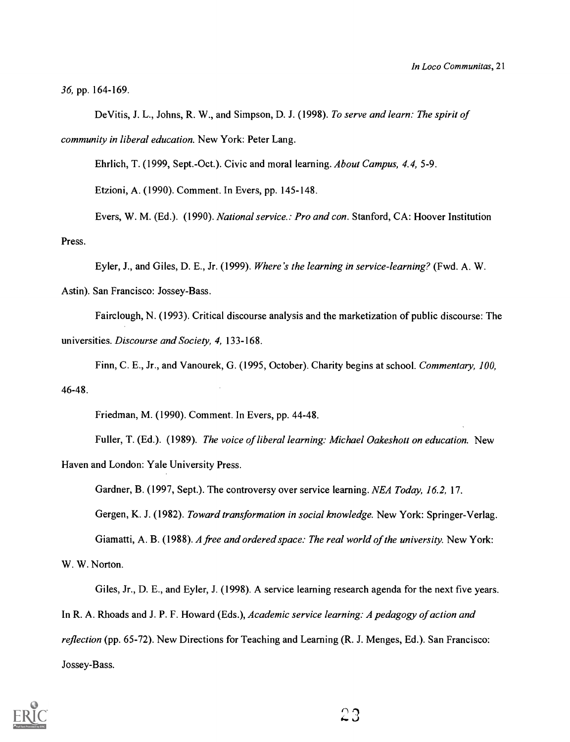36, pp. 164-169.

DeVitis, J. L., Johns, R. W., and Simpson, D. J. (1998). To serve and learn: The spirit of community in liberal education. New York: Peter Lang.

Ehrlich, T. (1999, Sept.-Oct.). Civic and moral learning. About Campus, 4.4, 5-9.

Etzioni, A. (1990). Comment. In Evers, pp. 145-148.

Evers, W. M. (Ed.). (1990). National service.: Pro and con. Stanford, CA: Hoover Institution Press.

Eyler, J., and Giles, D. E., Jr. (1999). Where's the learning in service-learning? (Fwd. A. W.

Astin). San Francisco: Jossey-Bass.

Fairclough, N. (1993). Critical discourse analysis and the marketization of public discourse: The universities. Discourse and Society, 4, 133-168.

Finn, C. E., Jr., and Vanourek, G. (1995, October). Charity begins at school. Commentary, 100, 46-48.

Friedman, M. (1990). Comment. In Evers, pp. 44-48.

Fuller, T. (Ed.). (1989). The voice of liberal learning: Michael Oakeshott on education. New Haven and London: Yale University Press.

Gardner, B. (1997, Sept.). The controversy over service learning. NEA Today, 16.2, 17.

Gergen, K. J. (1982). Toward transformation in social knowledge. New York: Springer-Verlag.

Giamatti, A. B. (1988). A free and ordered space: The real world of the university. New York:

W. W. Norton.

Giles, Jr., D. E., and Eyler, J. (1998). A service learning research agenda for the next five years. In R. A. Rhoads and J. P. F. Howard (Eds.), Academic service learning: A pedagogy of action and reflection (pp. 65-72). New Directions for Teaching and Learning (R. J. Menges, Ed.). San Francisco: Jossey-Bass.

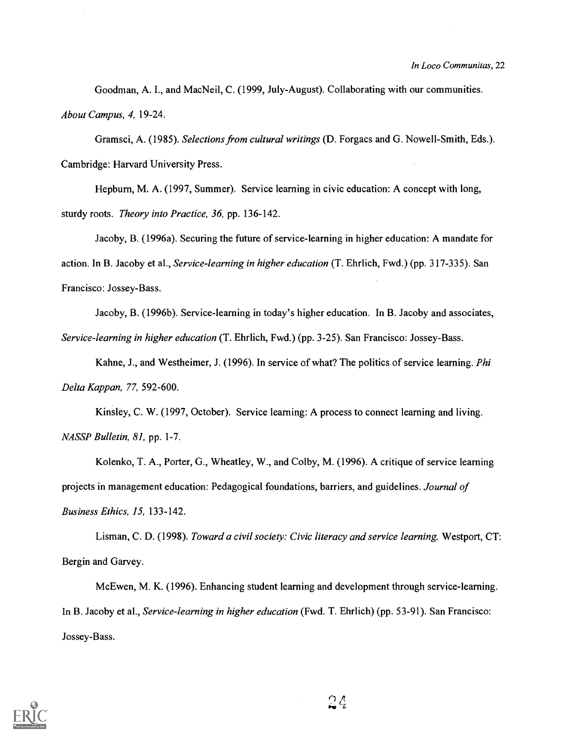Goodman, A. I., and MacNeil, C. (1999, July-August). Collaborating with our communities. About Campus, 4, 19-24.

Gramsci, A. (1985). Selections from cultural writings (D. Forgacs and G. Nowell-Smith, Eds.). Cambridge: Harvard University Press.

Hepburn, M. A. (1997, Summer). Service learning in civic education: A concept with long, sturdy roots. Theory into Practice, 36, pp. 136-142.

Jacoby, B. (1996a). Securing the future of service-learning in higher education: A mandate for action. In B. Jacoby et al., Service-learning in higher education (T. Ehrlich, Fwd.) (pp. 317-335). San Francisco: Jossey-Bass.

Jacoby, B. (1996b). Service-learning in today's higher education. In B. Jacoby and associates,

Service-learning in higher education (T. Ehrlich, Fwd.) (pp. 3-25). San Francisco: Jossey-Bass.

Kahne, J., and Westheimer, J. (1996). In service of what? The politics of service learning. *Phi* Delta Kappan, 77, 592-600.

Kinsley, C. W. (1997, October). Service learning: A process to connect learning and living. NASSP Bulletin, 81, pp. 1-7.

Kolenko, T. A., Porter, G., Wheatley, W., and Colby, M. (1996). A critique of service learning projects in management education: Pedagogical foundations, barriers, and guidelines. Journal of Business Ethics, 15, 133-142.

Lisman, C. D. (1998). Toward a civil society: Civic literacy and service learning. Westport, CT: Bergin and Garvey.

McEwen, M. K. (1996). Enhancing student learning and development through service-learning. In B. Jacoby et al., Service-learning in higher education (Fwd. T. Ehrlich) (pp. 53-91). San Francisco: Jossey-Bass.

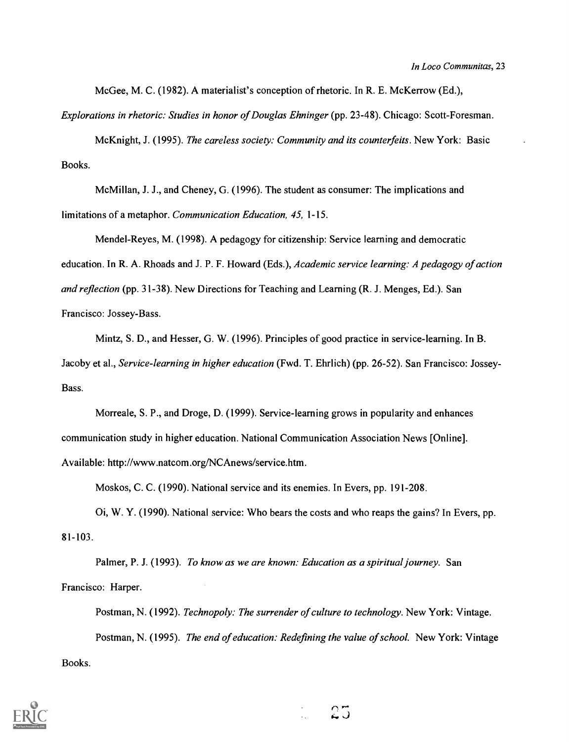McGee, M. C. (1982). A materialist's conception of rhetoric. In R. E. McKerrow (Ed.),

Explorations in rhetoric: Studies in honor of Douglas Ehninger (pp. 23-48). Chicago: Scott-Foresman.

McKnight, J. (1995). The careless society: Community and its counterfeits. New York: Basic Books.

McMillan, J. J., and Cheney, G. (1996). The student as consumer: The implications and limitations of a metaphor. Communication Education, 45, 1-15.

Mendel-Reyes, M. (1998). A pedagogy for citizenship: Service learning and democratic education. In R. A. Rhoads and J. P. F. Howard (Eds.), Academic service learning: A pedagogy of action and reflection (pp. 31-38). New Directions for Teaching and Learning (R. J. Menges, Ed.). San Francisco: Jossey-Bass.

Mintz, S. D., and Hesser, G. W. (1996). Principles of good practice in service-learning. In B. Jacoby et al., Service-learning in higher education (Fwd. T. Ehrlich) (pp. 26-52). San Francisco: Jossey-Bass.

Morreale, S. P., and Droge, D. (1999). Service-learning grows in popularity and enhances communication study in higher education. National Communication Association News [Online]. Available: http://www.natcom.org/NCAnews/service.htm.

Moskos, C. C. (1990). National service and its enemies. In Evers, pp. 191-208.

0i, W. Y. (1990). National service: Who bears the costs and who reaps the gains? In Evers, pp. 81-103.

Palmer, P. J. (1993). To know as we are known: Education as a spiritual journey. San Francisco: Harper.

Postman, N. (1992). Technopoly: The surrender of culture to technology. New York: Vintage. Postman, N. (1995). The end of education: Redefining the value of school. New York: Vintage Books.

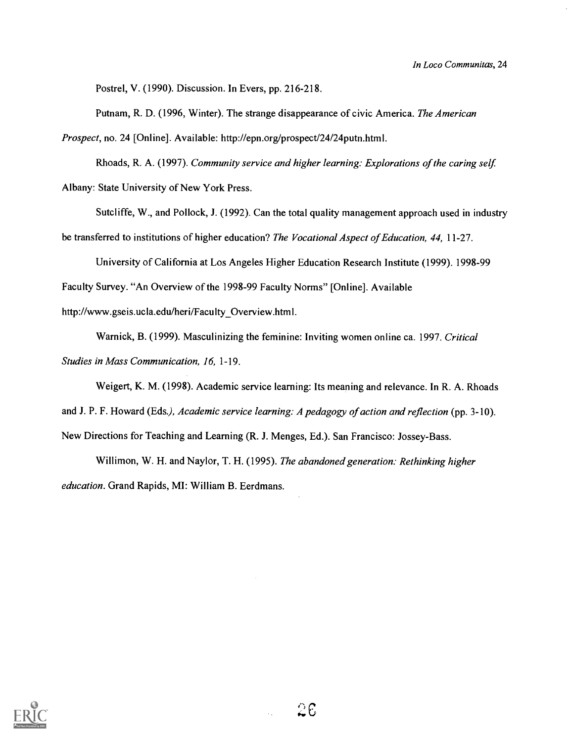Postrel, V. (1990). Discussion. In Evers, pp. 216-218.

Putnam, R. D. (1996, Winter). The strange disappearance of civic America. The American

Prospect, no. 24 [Online]. Available: http://epn.org/prospect/24/24putn.html.

Rhoads, R. A. (1997). Community service and higher learning: Explorations of the caring self. Albany: State University of New York Press.

Sutcliffe, W., and Pollock, J. (1992). Can the total quality management approach used in industry be transferred to institutions of higher education? The Vocational Aspect of Education, 44, 11-27.

University of California at Los Angeles Higher Education Research Institute (1999). 1998-99 Faculty Survey. "An Overview of the 1998-99 Faculty Norms" [Online]. Available http://www.gseis.ucla.edu/heri/Faculty\_Overview.html.

Warnick, B. (1999). Masculinizing the feminine: Inviting women online ca. 1997. Critical Studies in Mass Communication, 16, 1-19.

Weigert, K. M. (1998). Academic service learning: Its meaning and relevance. In R. A. Rhoads and J. P. F. Howard (Eds.), Academic service learning: A pedagogy of action and reflection (pp. 3-10). New Directions for Teaching and Learning (R. J. Menges, Ed.). San Francisco: Jossey-Bass.

Willimon, W. H. and Naylor, T. H. (1995). The abandoned generation: Rethinking higher education. Grand Rapids, MI: William B. Eerdmans.